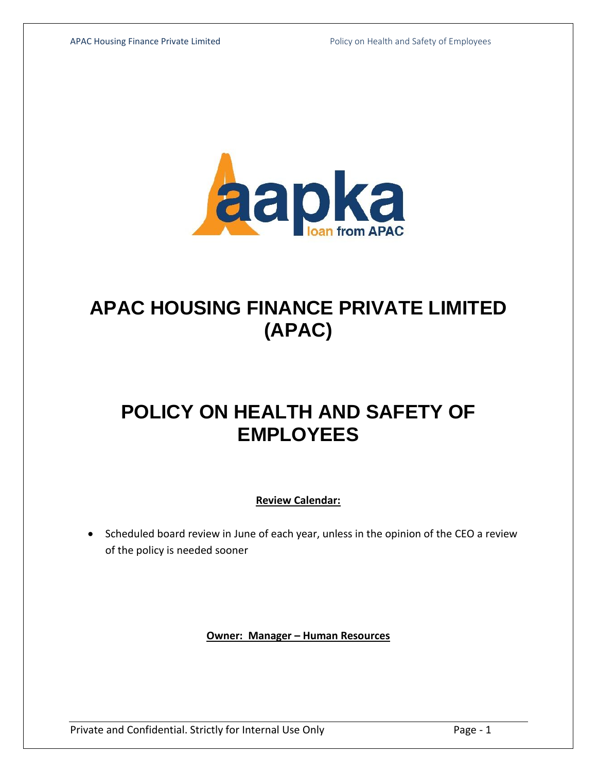

# **APAC HOUSING FINANCE PRIVATE LIMITED (APAC)**

## **POLICY ON HEALTH AND SAFETY OF EMPLOYEES**

**Review Calendar:**

• Scheduled board review in June of each year, unless in the opinion of the CEO a review of the policy is needed sooner

**Owner: Manager – Human Resources**

Private and Confidential. Strictly for Internal Use Only Page - 1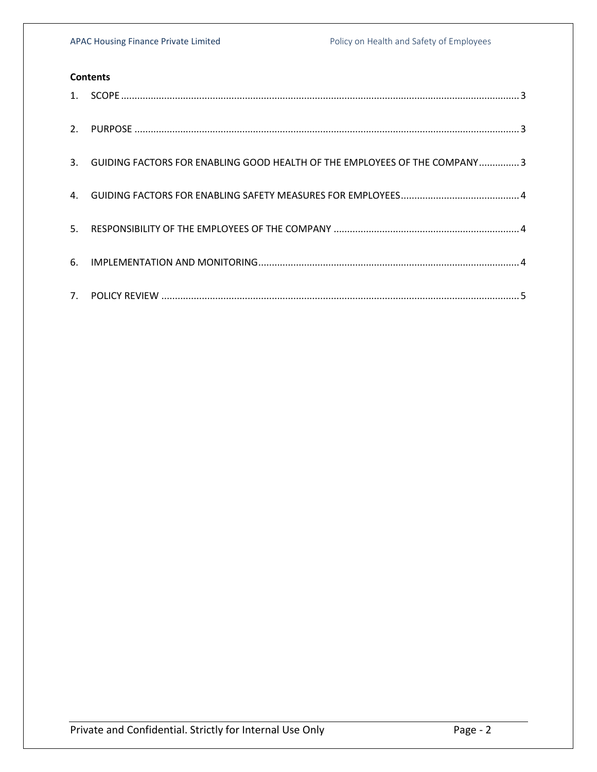### **Contents**

| 2.             |                                                                           |
|----------------|---------------------------------------------------------------------------|
| 3.             | GUIDING FACTORS FOR ENABLING GOOD HEALTH OF THE EMPLOYEES OF THE COMPANY3 |
| 4.             |                                                                           |
| 5 <sub>1</sub> |                                                                           |
| 6.             |                                                                           |
|                |                                                                           |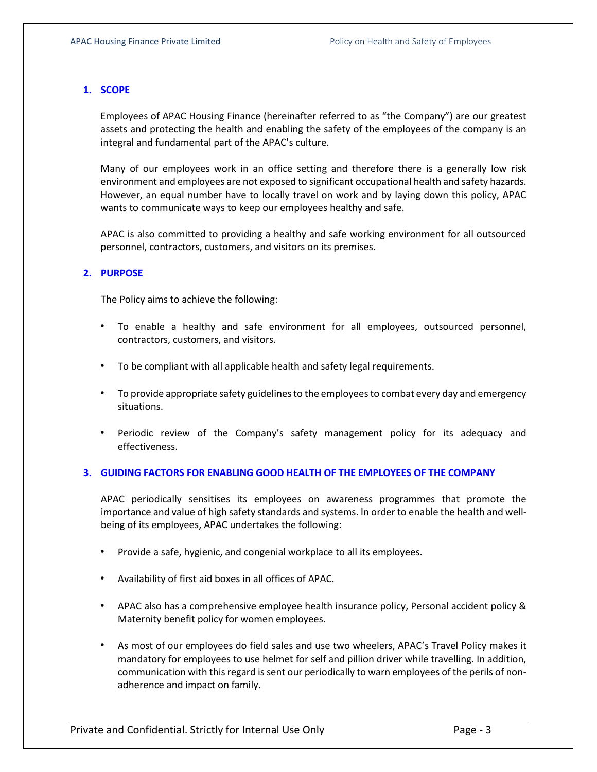#### <span id="page-2-0"></span>**1. SCOPE**

Employees of APAC Housing Finance (hereinafter referred to as "the Company") are our greatest assets and protecting the health and enabling the safety of the employees of the company is an integral and fundamental part of the APAC's culture.

Many of our employees work in an office setting and therefore there is a generally low risk environment and employees are not exposed to significant occupational health and safety hazards. However, an equal number have to locally travel on work and by laying down this policy, APAC wants to communicate ways to keep our employees healthy and safe.

APAC is also committed to providing a healthy and safe working environment for all outsourced personnel, contractors, customers, and visitors on its premises.

#### <span id="page-2-1"></span>**2. PURPOSE**

The Policy aims to achieve the following:

- To enable a healthy and safe environment for all employees, outsourced personnel, contractors, customers, and visitors.
- To be compliant with all applicable health and safety legal requirements.
- To provide appropriate safety guidelines to the employees to combat every day and emergency situations.
- Periodic review of the Company's safety management policy for its adequacy and effectiveness.

#### <span id="page-2-2"></span>**3. GUIDING FACTORS FOR ENABLING GOOD HEALTH OF THE EMPLOYEES OF THE COMPANY**

APAC periodically sensitises its employees on awareness programmes that promote the importance and value of high safety standards and systems. In order to enable the health and wellbeing of its employees, APAC undertakes the following:

- Provide a safe, hygienic, and congenial workplace to all its employees.
- Availability of first aid boxes in all offices of APAC.
- APAC also has a comprehensive employee health insurance policy, Personal accident policy & Maternity benefit policy for women employees.
- As most of our employees do field sales and use two wheelers, APAC's Travel Policy makes it mandatory for employees to use helmet for self and pillion driver while travelling. In addition, communication with this regard is sent our periodically to warn employees of the perils of nonadherence and impact on family.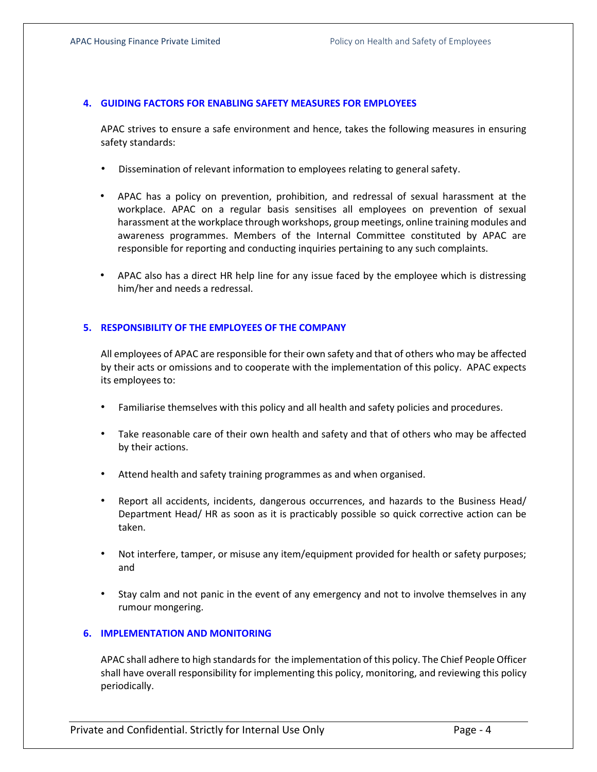#### <span id="page-3-0"></span>**4. GUIDING FACTORS FOR ENABLING SAFETY MEASURES FOR EMPLOYEES**

APAC strives to ensure a safe environment and hence, takes the following measures in ensuring safety standards:

- Dissemination of relevant information to employees relating to general safety.
- APAC has a policy on prevention, prohibition, and redressal of sexual harassment at the workplace. APAC on a regular basis sensitises all employees on prevention of sexual harassment at the workplace through workshops, group meetings, online training modules and awareness programmes. Members of the Internal Committee constituted by APAC are responsible for reporting and conducting inquiries pertaining to any such complaints.
- APAC also has a direct HR help line for any issue faced by the employee which is distressing him/her and needs a redressal.

#### <span id="page-3-1"></span>**5. RESPONSIBILITY OF THE EMPLOYEES OF THE COMPANY**

All employees of APAC are responsible for their own safety and that of others who may be affected by their acts or omissions and to cooperate with the implementation of this policy. APAC expects its employees to:

- Familiarise themselves with this policy and all health and safety policies and procedures.
- Take reasonable care of their own health and safety and that of others who may be affected by their actions.
- Attend health and safety training programmes as and when organised.
- Report all accidents, incidents, dangerous occurrences, and hazards to the Business Head/ Department Head/ HR as soon as it is practicably possible so quick corrective action can be taken.
- Not interfere, tamper, or misuse any item/equipment provided for health or safety purposes; and
- Stay calm and not panic in the event of any emergency and not to involve themselves in any rumour mongering.

#### <span id="page-3-2"></span>**6. IMPLEMENTATION AND MONITORING**

APAC shall adhere to high standards for the implementation of this policy. The Chief People Officer shall have overall responsibility for implementing this policy, monitoring, and reviewing this policy periodically.